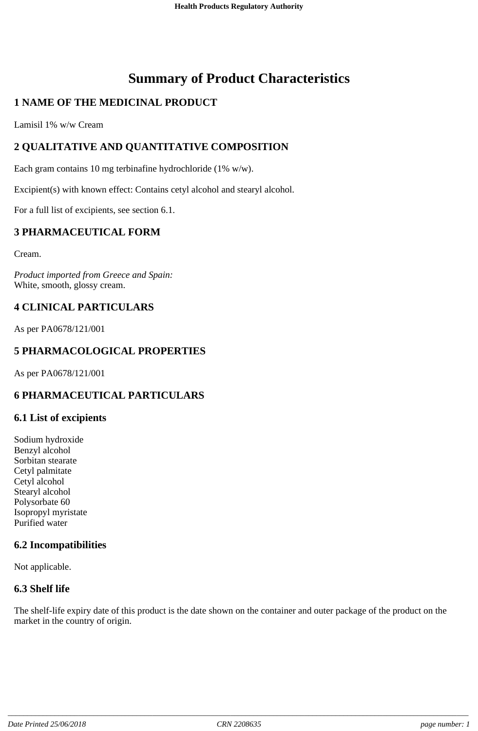# **Summary of Product Characteristics**

# **1 NAME OF THE MEDICINAL PRODUCT**

Lamisil 1% w/w Cream

# **2 QUALITATIVE AND QUANTITATIVE COMPOSITION**

Each gram contains 10 mg terbinafine hydrochloride (1% w/w).

Excipient(s) with known effect: Contains cetyl alcohol and stearyl alcohol.

For a full list of excipients, see section 6.1.

# **3 PHARMACEUTICAL FORM**

Cream.

*Product imported from Greece and Spain:* White, smooth, glossy cream.

# **4 CLINICAL PARTICULARS**

As per PA0678/121/001

# **5 PHARMACOLOGICAL PROPERTIES**

As per PA0678/121/001

# **6 PHARMACEUTICAL PARTICULARS**

#### **6.1 List of excipients**

Sodium hydroxide Benzyl alcohol Sorbitan stearate Cetyl palmitate Cetyl alcohol Stearyl alcohol Polysorbate 60 Isopropyl myristate Purified water

# **6.2 Incompatibilities**

Not applicable.

#### **6.3 Shelf life**

The shelf-life expiry date of this product is the date shown on the container and outer package of the product on the market in the country of origin.